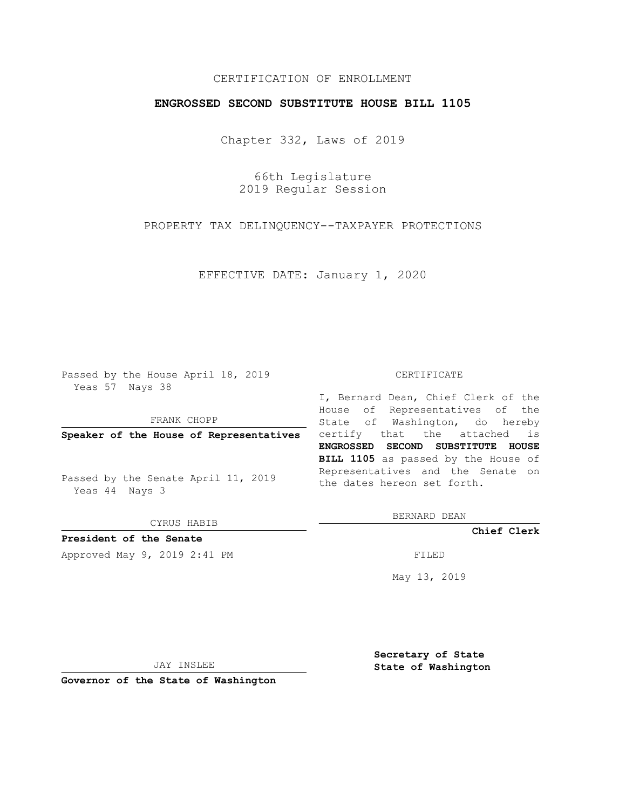### CERTIFICATION OF ENROLLMENT

#### **ENGROSSED SECOND SUBSTITUTE HOUSE BILL 1105**

Chapter 332, Laws of 2019

66th Legislature 2019 Regular Session

PROPERTY TAX DELINQUENCY--TAXPAYER PROTECTIONS

EFFECTIVE DATE: January 1, 2020

Passed by the House April 18, 2019 Yeas 57 Nays 38

FRANK CHOPP

Passed by the Senate April 11, 2019 Yeas 44 Nays 3

CYRUS HABIB

**President of the Senate**

Approved May 9, 2019 2:41 PM

#### CERTIFICATE

**Speaker of the House of Representatives** certify that the attached is I, Bernard Dean, Chief Clerk of the House of Representatives of the State of Washington, do hereby **ENGROSSED SECOND SUBSTITUTE HOUSE BILL 1105** as passed by the House of Representatives and the Senate on the dates hereon set forth.

BERNARD DEAN

**Chief Clerk**

May 13, 2019

JAY INSLEE

**Governor of the State of Washington**

**Secretary of State State of Washington**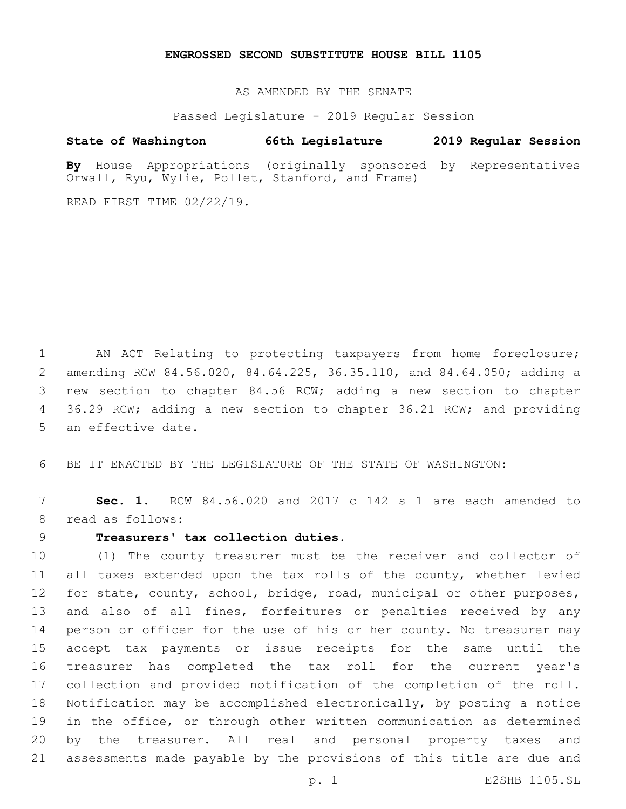#### **ENGROSSED SECOND SUBSTITUTE HOUSE BILL 1105**

AS AMENDED BY THE SENATE

Passed Legislature - 2019 Regular Session

### **State of Washington 66th Legislature 2019 Regular Session**

**By** House Appropriations (originally sponsored by Representatives Orwall, Ryu, Wylie, Pollet, Stanford, and Frame)

READ FIRST TIME 02/22/19.

 AN ACT Relating to protecting taxpayers from home foreclosure; amending RCW 84.56.020, 84.64.225, 36.35.110, and 84.64.050; adding a new section to chapter 84.56 RCW; adding a new section to chapter 4 36.29 RCW; adding a new section to chapter 36.21 RCW; and providing 5 an effective date.

BE IT ENACTED BY THE LEGISLATURE OF THE STATE OF WASHINGTON:

 **Sec. 1.** RCW 84.56.020 and 2017 c 142 s 1 are each amended to 8 read as follows:

### **Treasurers' tax collection duties.**

 (1) The county treasurer must be the receiver and collector of all taxes extended upon the tax rolls of the county, whether levied for state, county, school, bridge, road, municipal or other purposes, and also of all fines, forfeitures or penalties received by any person or officer for the use of his or her county. No treasurer may accept tax payments or issue receipts for the same until the treasurer has completed the tax roll for the current year's collection and provided notification of the completion of the roll. Notification may be accomplished electronically, by posting a notice in the office, or through other written communication as determined by the treasurer. All real and personal property taxes and assessments made payable by the provisions of this title are due and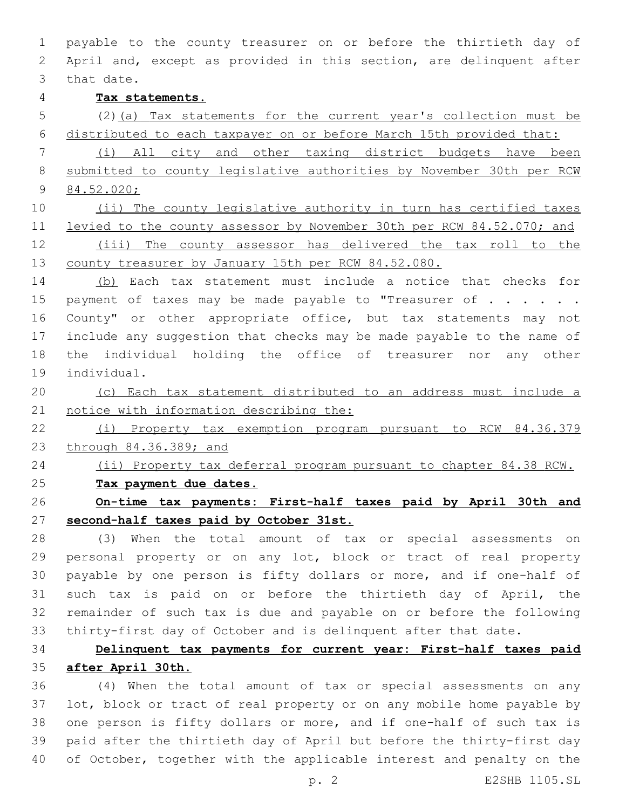payable to the county treasurer on or before the thirtieth day of April and, except as provided in this section, are delinquent after 3 that date. **Tax statements.** (2)(a) Tax statements for the current year's collection must be distributed to each taxpayer on or before March 15th provided that: (i) All city and other taxing district budgets have been submitted to county legislative authorities by November 30th per RCW 84.52.020; 10 (ii) The county legislative authority in turn has certified taxes levied to the county assessor by November 30th per RCW 84.52.070; and (iii) The county assessor has delivered the tax roll to the county treasurer by January 15th per RCW 84.52.080. (b) Each tax statement must include a notice that checks for 15 payment of taxes may be made payable to "Treasurer of  $\ldots$ ... 16 County" or other appropriate office, but tax statements may not include any suggestion that checks may be made payable to the name of the individual holding the office of treasurer nor any other

19 individual.

 (c) Each tax statement distributed to an address must include a 21 notice with information describing the:

 (i) Property tax exemption program pursuant to RCW 84.36.379 through 84.36.389; and

 (ii) Property tax deferral program pursuant to chapter 84.38 RCW. **Tax payment due dates.**

 **On-time tax payments: First-half taxes paid by April 30th and second-half taxes paid by October 31st.**

 (3) When the total amount of tax or special assessments on personal property or on any lot, block or tract of real property payable by one person is fifty dollars or more, and if one-half of such tax is paid on or before the thirtieth day of April, the remainder of such tax is due and payable on or before the following thirty-first day of October and is delinquent after that date.

# **Delinquent tax payments for current year: First-half taxes paid after April 30th.**

 (4) When the total amount of tax or special assessments on any lot, block or tract of real property or on any mobile home payable by one person is fifty dollars or more, and if one-half of such tax is paid after the thirtieth day of April but before the thirty-first day of October, together with the applicable interest and penalty on the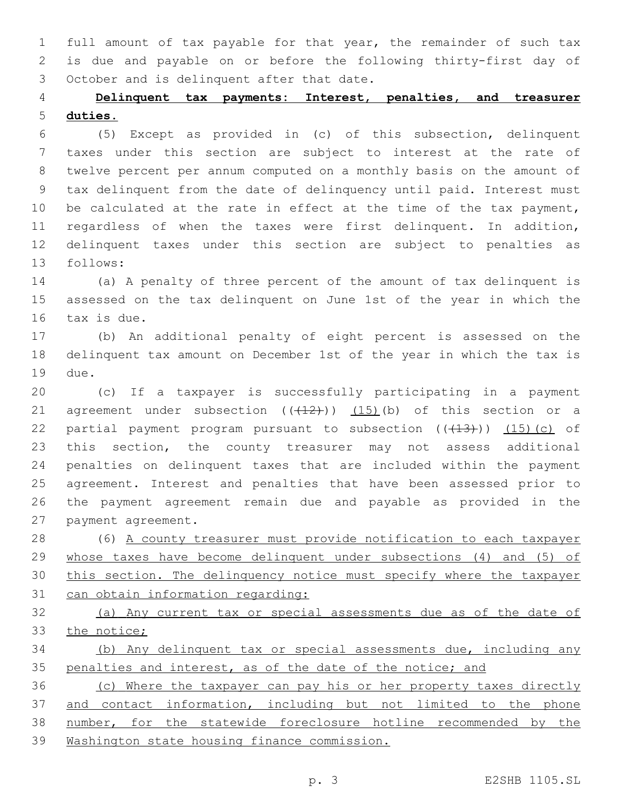full amount of tax payable for that year, the remainder of such tax is due and payable on or before the following thirty-first day of 3 October and is delinquent after that date.

# **Delinquent tax payments: Interest, penalties, and treasurer duties.**

 (5) Except as provided in (c) of this subsection, delinquent taxes under this section are subject to interest at the rate of twelve percent per annum computed on a monthly basis on the amount of tax delinquent from the date of delinquency until paid. Interest must 10 be calculated at the rate in effect at the time of the tax payment, regardless of when the taxes were first delinquent. In addition, delinquent taxes under this section are subject to penalties as 13 follows:

 (a) A penalty of three percent of the amount of tax delinquent is assessed on the tax delinquent on June 1st of the year in which the 16 tax is due.

 (b) An additional penalty of eight percent is assessed on the delinquent tax amount on December 1st of the year in which the tax is 19 due.

 (c) If a taxpayer is successfully participating in a payment 21 agreement under subsection  $((+12))$   $(15)$  (b) of this section or a 22 partial payment program pursuant to subsection  $((+13)+)(-15)$  (c) of this section, the county treasurer may not assess additional penalties on delinquent taxes that are included within the payment agreement. Interest and penalties that have been assessed prior to the payment agreement remain due and payable as provided in the 27 payment agreement.

 (6) A county treasurer must provide notification to each taxpayer whose taxes have become delinquent under subsections (4) and (5) of this section. The delinquency notice must specify where the taxpayer can obtain information regarding:

 (a) Any current tax or special assessments due as of the date of the notice;

 (b) Any delinquent tax or special assessments due, including any 35 penalties and interest, as of the date of the notice; and

 (c) Where the taxpayer can pay his or her property taxes directly and contact information, including but not limited to the phone number, for the statewide foreclosure hotline recommended by the Washington state housing finance commission.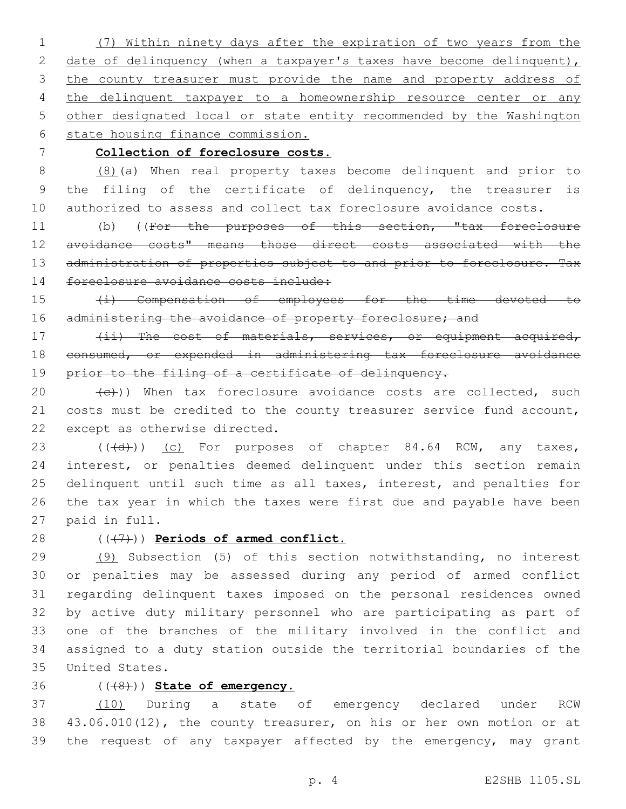(7) Within ninety days after the expiration of two years from the 2 date of delinquency (when a taxpayer's taxes have become delinquent), 3 the county treasurer must provide the name and property address of 4 the delinquent taxpayer to a homeownership resource center or any other designated local or state entity recommended by the Washington state housing finance commission.

### **Collection of foreclosure costs.**

 (8)(a) When real property taxes become delinquent and prior to the filing of the certificate of delinquency, the treasurer is authorized to assess and collect tax foreclosure avoidance costs.

11 (b) ((For the purposes of this section, "tax foreclosure avoidance costs" means those direct costs associated with the 13 administration of properties subject to and prior to foreclosure. Tax 14 foreclosure avoidance costs include:

 (i) Compensation of employees for the time devoted to 16 administering the avoidance of property foreclosure; and

17 (ii) The cost of materials, services, or equipment acquired, consumed, or expended in administering tax foreclosure avoidance 19 prior to the filing of a certificate of delinquency.

 $(e)$ )) When tax foreclosure avoidance costs are collected, such costs must be credited to the county treasurer service fund account, 22 except as otherwise directed.

23 (((d)) (c) For purposes of chapter 84.64 RCW, any taxes, interest, or penalties deemed delinquent under this section remain delinquent until such time as all taxes, interest, and penalties for the tax year in which the taxes were first due and payable have been 27 paid in full.

## 28 ( $(\overline{7})$ ) **Periods of armed conflict.**

 (9) Subsection (5) of this section notwithstanding, no interest or penalties may be assessed during any period of armed conflict regarding delinquent taxes imposed on the personal residences owned by active duty military personnel who are participating as part of one of the branches of the military involved in the conflict and assigned to a duty station outside the territorial boundaries of the United States.35

### (((8))) **State of emergency.**

 (10) During a state of emergency declared under RCW 43.06.010(12), the county treasurer, on his or her own motion or at the request of any taxpayer affected by the emergency, may grant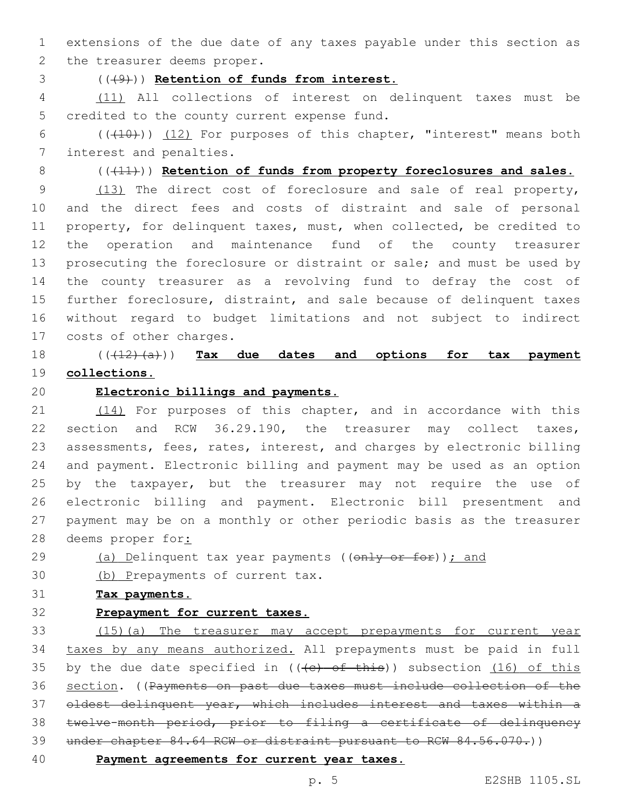extensions of the due date of any taxes payable under this section as 2 the treasurer deems proper.

(((9))) **Retention of funds from interest.**

 (11) All collections of interest on delinquent taxes must be 5 credited to the county current expense fund.

6  $((+10))$   $(12)$  For purposes of this chapter, "interest" means both 7 interest and penalties.

(((11))) **Retention of funds from property foreclosures and sales.**

 (13) The direct cost of foreclosure and sale of real property, and the direct fees and costs of distraint and sale of personal property, for delinquent taxes, must, when collected, be credited to the operation and maintenance fund of the county treasurer prosecuting the foreclosure or distraint or sale; and must be used by the county treasurer as a revolving fund to defray the cost of further foreclosure, distraint, and sale because of delinquent taxes without regard to budget limitations and not subject to indirect 17 costs of other charges.

 (((12)(a))) **Tax due dates and options for tax payment collections.**

### **Electronic billings and payments.**

21 (14) For purposes of this chapter, and in accordance with this section and RCW 36.29.190, the treasurer may collect taxes, assessments, fees, rates, interest, and charges by electronic billing and payment. Electronic billing and payment may be used as an option 25 by the taxpayer, but the treasurer may not require the use of electronic billing and payment. Electronic bill presentment and payment may be on a monthly or other periodic basis as the treasurer 28 deems proper for:

- 29 (a) Delinquent tax year payments ((only or for)); and
- 30 (b) Prepayments of current tax.
- **Tax payments.**
- 

## **Prepayment for current taxes.**

 (15)(a) The treasurer may accept prepayments for current year taxes by any means authorized. All prepayments must be paid in full 35 by the due date specified in  $((e)$  of this)) subsection  $(16)$  of this section. ((Payments on past due taxes must include collection of the oldest delinquent year, which includes interest and taxes within a twelve-month period, prior to filing a certificate of delinquency 39 under chapter 84.64 RCW or distraint pursuant to RCW 84.56.070.))

**Payment agreements for current year taxes.**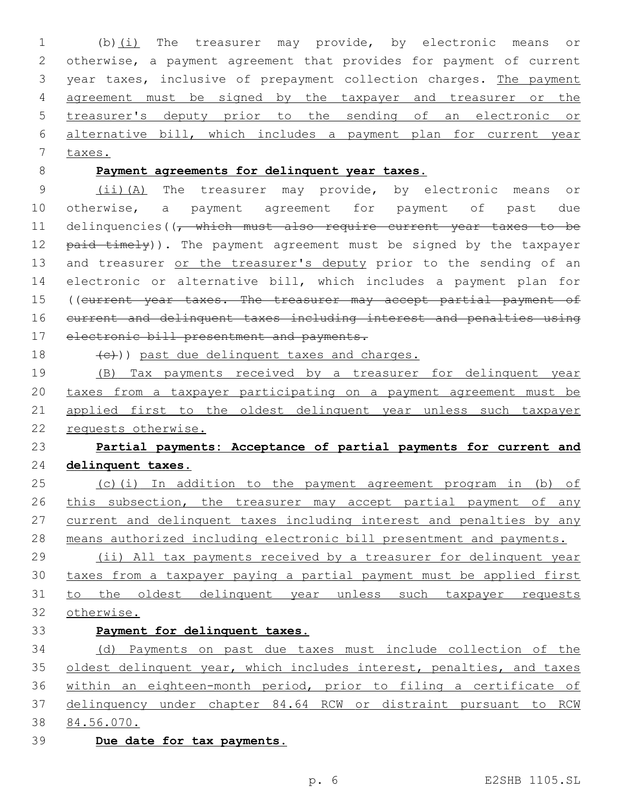(b)(i) The treasurer may provide, by electronic means or otherwise, a payment agreement that provides for payment of current year taxes, inclusive of prepayment collection charges. The payment agreement must be signed by the taxpayer and treasurer or the treasurer's deputy prior to the sending of an electronic or alternative bill, which includes a payment plan for current year taxes. **Payment agreements for delinquent year taxes.** (ii)(A) The treasurer may provide, by electronic means or otherwise, a payment agreement for payment of past due

11 delinquencies((<del>, which must also require current year taxes to be</del> 12 paid timely)). The payment agreement must be signed by the taxpayer 13 and treasurer or the treasurer's deputy prior to the sending of an electronic or alternative bill, which includes a payment plan for 15 ((current year taxes. The treasurer may accept partial payment of current and delinquent taxes including interest and penalties using 17 electronic bill presentment and payments.

18  $(e)$ ) past due delinguent taxes and charges.

 (B) Tax payments received by a treasurer for delinquent year taxes from a taxpayer participating on a payment agreement must be applied first to the oldest delinquent year unless such taxpayer requests otherwise.

# **Partial payments: Acceptance of partial payments for current and delinquent taxes.**

 (c)(i) In addition to the payment agreement program in (b) of 26 this subsection, the treasurer may accept partial payment of any current and delinquent taxes including interest and penalties by any means authorized including electronic bill presentment and payments.

 (ii) All tax payments received by a treasurer for delinquent year taxes from a taxpayer paying a partial payment must be applied first 31 to the oldest delinquent year unless such taxpayer requests otherwise.

**Payment for delinquent taxes.**

 (d) Payments on past due taxes must include collection of the 35 oldest delinquent year, which includes interest, penalties, and taxes within an eighteen-month period, prior to filing a certificate of delinquency under chapter 84.64 RCW or distraint pursuant to RCW 84.56.070.

**Due date for tax payments.**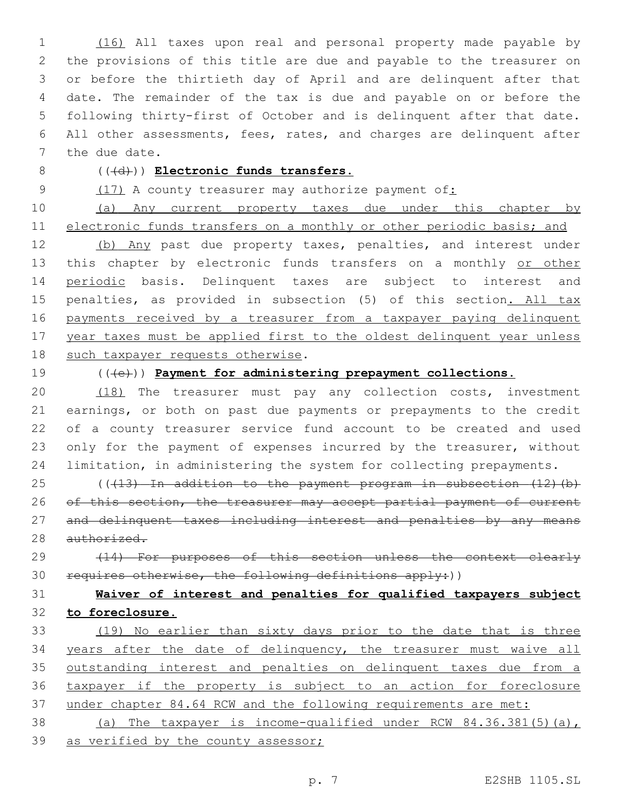(16) All taxes upon real and personal property made payable by the provisions of this title are due and payable to the treasurer on or before the thirtieth day of April and are delinquent after that date. The remainder of the tax is due and payable on or before the following thirty-first of October and is delinquent after that date. All other assessments, fees, rates, and charges are delinquent after 7 the due date.

## 8 (( $(\overline{d})$ ) **Electronic funds transfers.**

9 (17) A county treasurer may authorize payment of:

10 (a) Any current property taxes due under this chapter by 11 electronic funds transfers on a monthly or other periodic basis; and

12 (b) Any past due property taxes, penalties, and interest under 13 this chapter by electronic funds transfers on a monthly or other 14 periodic basis. Delinquent taxes are subject to interest and 15 penalties, as provided in subsection (5) of this section. All tax 16 payments received by a treasurer from a taxpayer paying delinquent 17 year taxes must be applied first to the oldest delinquent year unless 18 such taxpayer requests otherwise.

19 (((e))) **Payment for administering prepayment collections.**

 (18) The treasurer must pay any collection costs, investment earnings, or both on past due payments or prepayments to the credit of a county treasurer service fund account to be created and used 23 only for the payment of expenses incurred by the treasurer, without limitation, in administering the system for collecting prepayments.

25 (((13) In addition to the payment program in subsection (12)(b) 26 of this section, the treasurer may accept partial payment of current 27 and delinquent taxes including interest and penalties by any means 28 authorized.

29 (14) For purposes of this section unless the context clearly 30 requires otherwise, the following definitions apply:))

# 31 **Waiver of interest and penalties for qualified taxpayers subject** 32 **to foreclosure.**

 (19) No earlier than sixty days prior to the date that is three years after the date of delinquency, the treasurer must waive all 35 outstanding interest and penalties on delinquent taxes due from a taxpayer if the property is subject to an action for foreclosure under chapter 84.64 RCW and the following requirements are met:

38 (a) The taxpayer is income-qualified under RCW 84.36.381(5)(a), 39 as verified by the county assessor;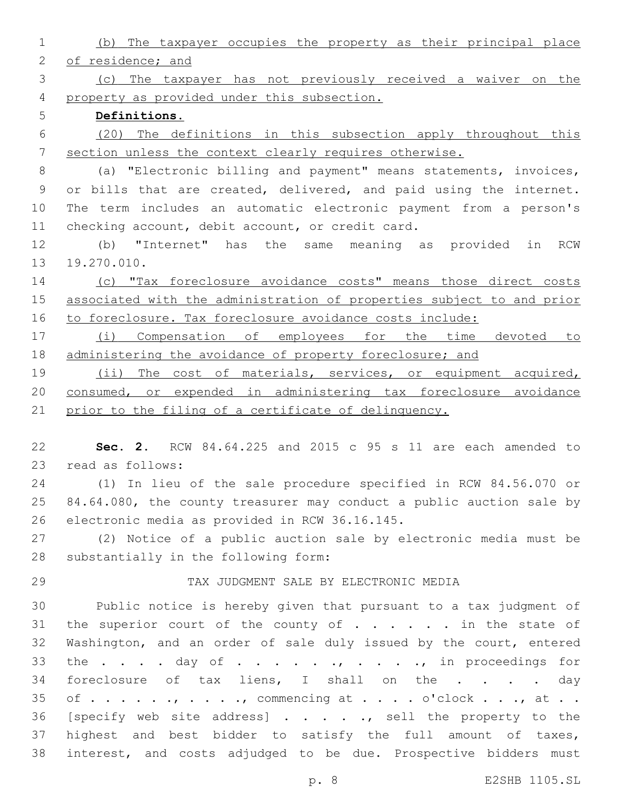| $\mathbf 1$     | (b) The taxpayer occupies the property as their principal place       |
|-----------------|-----------------------------------------------------------------------|
| $\mathbf{2}$    | of residence; and                                                     |
| 3               | (c) The taxpayer has not previously received a waiver on the          |
| 4               | property as provided under this subsection.                           |
| 5               | Definitions.                                                          |
| 6               | (20) The definitions in this subsection apply throughout this         |
| $7\phantom{.0}$ | section unless the context clearly requires otherwise.                |
| 8               | (a) "Electronic billing and payment" means statements, invoices,      |
| 9               | or bills that are created, delivered, and paid using the internet.    |
| 10              | The term includes an automatic electronic payment from a person's     |
| 11              | checking account, debit account, or credit card.                      |
| 12              | (b) "Internet" has the same meaning as provided in RCW                |
| 13              | 19.270.010.                                                           |
| 14              | (c) "Tax foreclosure avoidance costs" means those direct costs        |
| 15              | associated with the administration of properties subject to and prior |
| 16              | to foreclosure. Tax foreclosure avoidance costs include:              |
| 17              | (i) Compensation of employees for the time devoted to                 |
| 18              | administering the avoidance of property foreclosure; and              |
| 19              | (ii) The cost of materials, services, or equipment acquired,          |
| 20              | consumed, or expended in administering tax foreclosure avoidance      |
| 21              | prior to the filing of a certificate of delinquency.                  |
|                 |                                                                       |
| 22              | Sec. 2. RCW 84.64.225 and 2015 c 95 s 11 are each amended to          |
| 23              | read as follows:                                                      |
| 24              | (1) In lieu of the sale procedure specified in RCW 84.56.070 or       |
| 25              | 84.64.080, the county treasurer may conduct a public auction sale by  |
| 26              | electronic media as provided in RCW 36.16.145.                        |
| 27              | (2) Notice of a public auction sale by electronic media must be       |
| 28              | substantially in the following form:                                  |
| 29              | TAX JUDGMENT SALE BY ELECTRONIC MEDIA                                 |
| 30              | Public notice is hereby given that pursuant to a tax judgment of      |
| 31              | the superior court of the county of $\ldots$ in the state of          |
| 32              | Washington, and an order of sale duly issued by the court, entered    |
| 33              | the day of , , in proceedings for                                     |
| 34              | foreclosure of tax liens, I shall on the day                          |
| 35              | of , commencing at o'clock , at                                       |
| 36              | [specify web site address], sell the property to the                  |
| 37              | highest and best bidder to satisfy the full amount of taxes,          |
| 38              | interest, and costs adjudged to be due. Prospective bidders must      |

p. 8 E2SHB 1105.SL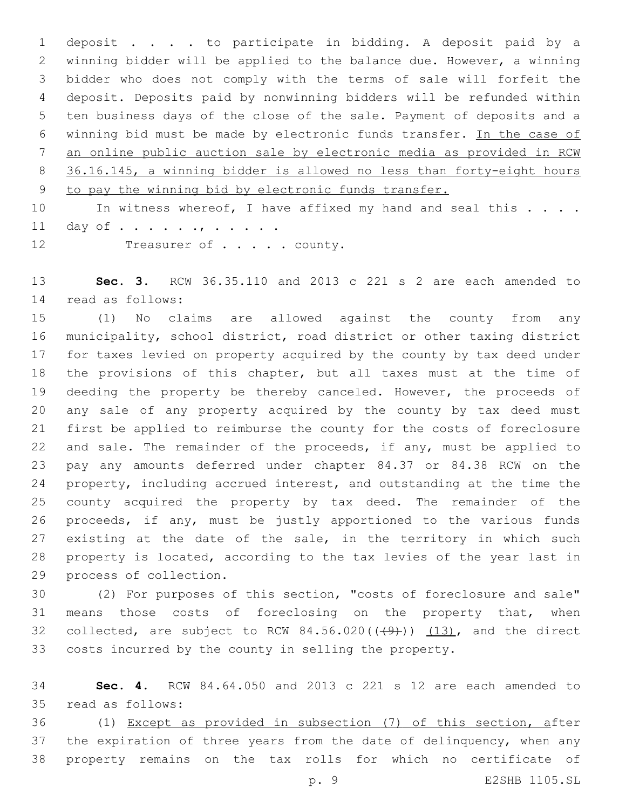deposit . . . . to participate in bidding. A deposit paid by a winning bidder will be applied to the balance due. However, a winning bidder who does not comply with the terms of sale will forfeit the deposit. Deposits paid by nonwinning bidders will be refunded within ten business days of the close of the sale. Payment of deposits and a winning bid must be made by electronic funds transfer. In the case of an online public auction sale by electronic media as provided in RCW 36.16.145, a winning bidder is allowed no less than forty-eight hours to pay the winning bid by electronic funds transfer.

10 In witness whereof, I have affixed my hand and seal this . . . . 11 day of . . . . . . , . . . . .

12 Treasurer of . . . . . county.

 **Sec. 3.** RCW 36.35.110 and 2013 c 221 s 2 are each amended to read as follows:14

 (1) No claims are allowed against the county from any municipality, school district, road district or other taxing district for taxes levied on property acquired by the county by tax deed under the provisions of this chapter, but all taxes must at the time of deeding the property be thereby canceled. However, the proceeds of any sale of any property acquired by the county by tax deed must first be applied to reimburse the county for the costs of foreclosure and sale. The remainder of the proceeds, if any, must be applied to pay any amounts deferred under chapter 84.37 or 84.38 RCW on the property, including accrued interest, and outstanding at the time the county acquired the property by tax deed. The remainder of the proceeds, if any, must be justly apportioned to the various funds 27 existing at the date of the sale, in the territory in which such property is located, according to the tax levies of the year last in 29 process of collection.

 (2) For purposes of this section, "costs of foreclosure and sale" 31 means those costs of foreclosing on the property that, when 32 collected, are subject to RCW  $84.56.020((49))$   $(13)$ , and the direct costs incurred by the county in selling the property.

 **Sec. 4.** RCW 84.64.050 and 2013 c 221 s 12 are each amended to read as follows:35

 (1) Except as provided in subsection (7) of this section, after 37 the expiration of three years from the date of delinquency, when any property remains on the tax rolls for which no certificate of

p. 9 E2SHB 1105.SL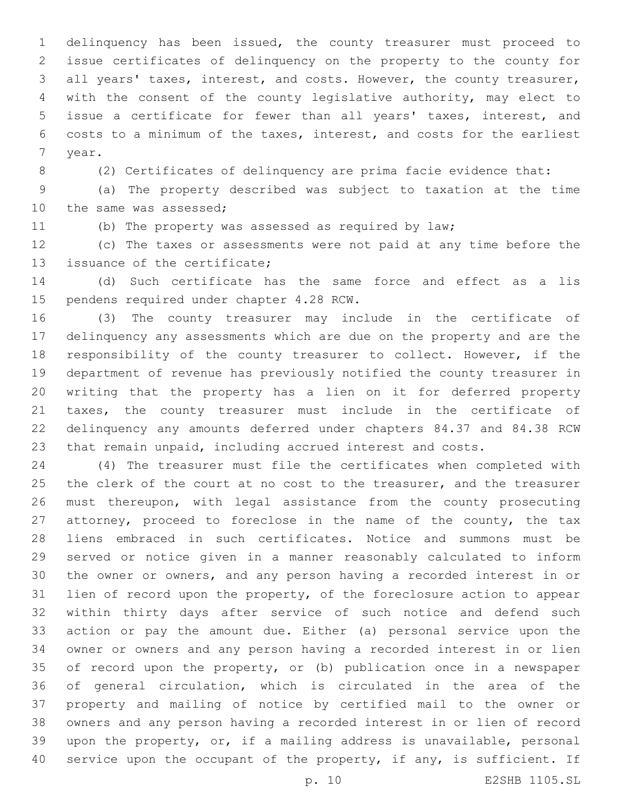delinquency has been issued, the county treasurer must proceed to issue certificates of delinquency on the property to the county for all years' taxes, interest, and costs. However, the county treasurer, with the consent of the county legislative authority, may elect to issue a certificate for fewer than all years' taxes, interest, and costs to a minimum of the taxes, interest, and costs for the earliest 7 year.

(2) Certificates of delinquency are prima facie evidence that:

 (a) The property described was subject to taxation at the time 10 the same was assessed;

(b) The property was assessed as required by law;

 (c) The taxes or assessments were not paid at any time before the 13 issuance of the certificate;

 (d) Such certificate has the same force and effect as a lis 15 pendens required under chapter 4.28 RCW.

 (3) The county treasurer may include in the certificate of delinquency any assessments which are due on the property and are the responsibility of the county treasurer to collect. However, if the department of revenue has previously notified the county treasurer in writing that the property has a lien on it for deferred property taxes, the county treasurer must include in the certificate of delinquency any amounts deferred under chapters 84.37 and 84.38 RCW that remain unpaid, including accrued interest and costs.

 (4) The treasurer must file the certificates when completed with 25 the clerk of the court at no cost to the treasurer, and the treasurer must thereupon, with legal assistance from the county prosecuting 27 attorney, proceed to foreclose in the name of the county, the tax liens embraced in such certificates. Notice and summons must be served or notice given in a manner reasonably calculated to inform the owner or owners, and any person having a recorded interest in or lien of record upon the property, of the foreclosure action to appear within thirty days after service of such notice and defend such action or pay the amount due. Either (a) personal service upon the owner or owners and any person having a recorded interest in or lien of record upon the property, or (b) publication once in a newspaper of general circulation, which is circulated in the area of the property and mailing of notice by certified mail to the owner or owners and any person having a recorded interest in or lien of record upon the property, or, if a mailing address is unavailable, personal 40 service upon the occupant of the property, if any, is sufficient. If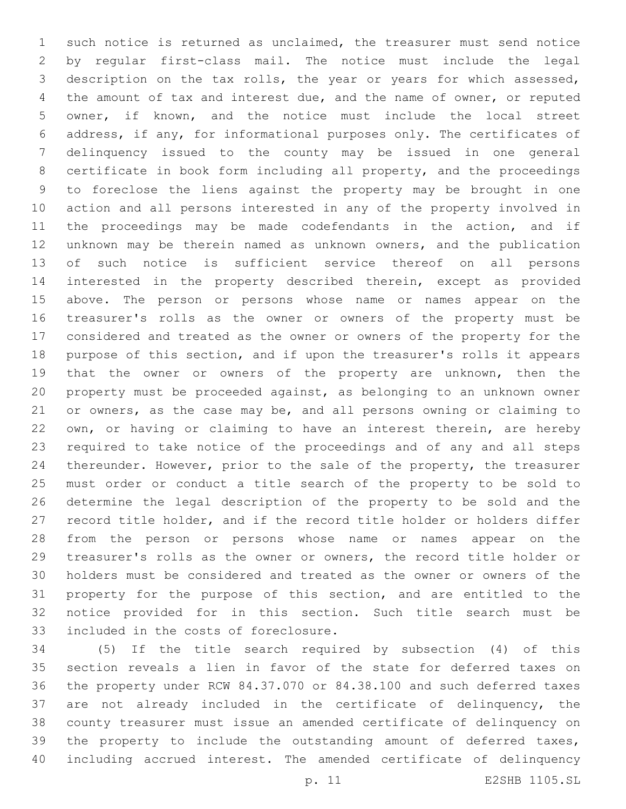such notice is returned as unclaimed, the treasurer must send notice by regular first-class mail. The notice must include the legal description on the tax rolls, the year or years for which assessed, the amount of tax and interest due, and the name of owner, or reputed owner, if known, and the notice must include the local street address, if any, for informational purposes only. The certificates of delinquency issued to the county may be issued in one general certificate in book form including all property, and the proceedings to foreclose the liens against the property may be brought in one action and all persons interested in any of the property involved in the proceedings may be made codefendants in the action, and if unknown may be therein named as unknown owners, and the publication of such notice is sufficient service thereof on all persons interested in the property described therein, except as provided above. The person or persons whose name or names appear on the treasurer's rolls as the owner or owners of the property must be considered and treated as the owner or owners of the property for the purpose of this section, and if upon the treasurer's rolls it appears that the owner or owners of the property are unknown, then the property must be proceeded against, as belonging to an unknown owner or owners, as the case may be, and all persons owning or claiming to own, or having or claiming to have an interest therein, are hereby required to take notice of the proceedings and of any and all steps thereunder. However, prior to the sale of the property, the treasurer must order or conduct a title search of the property to be sold to determine the legal description of the property to be sold and the record title holder, and if the record title holder or holders differ from the person or persons whose name or names appear on the treasurer's rolls as the owner or owners, the record title holder or holders must be considered and treated as the owner or owners of the property for the purpose of this section, and are entitled to the notice provided for in this section. Such title search must be 33 included in the costs of foreclosure.

 (5) If the title search required by subsection (4) of this section reveals a lien in favor of the state for deferred taxes on the property under RCW 84.37.070 or 84.38.100 and such deferred taxes are not already included in the certificate of delinquency, the county treasurer must issue an amended certificate of delinquency on 39 the property to include the outstanding amount of deferred taxes, including accrued interest. The amended certificate of delinquency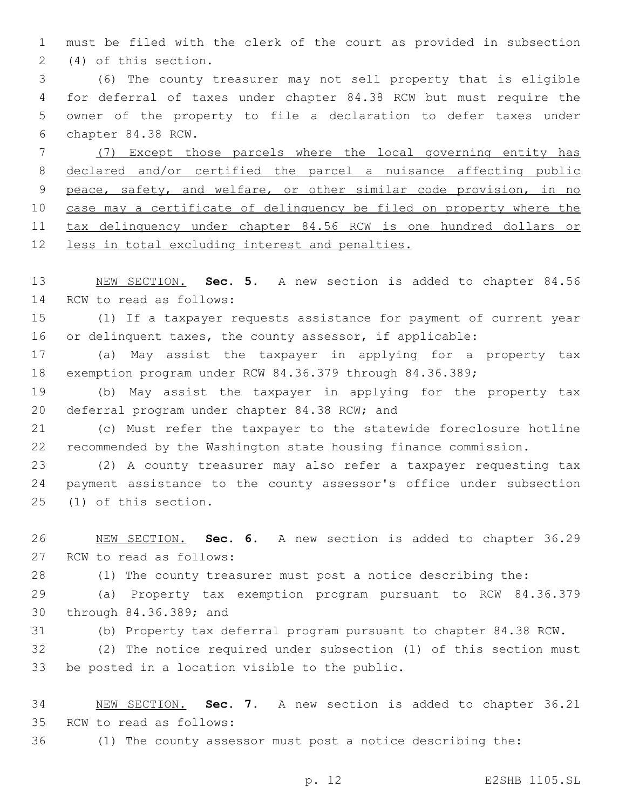must be filed with the clerk of the court as provided in subsection (4) of this section.2

 (6) The county treasurer may not sell property that is eligible for deferral of taxes under chapter 84.38 RCW but must require the owner of the property to file a declaration to defer taxes under 6 chapter 84.38 RCW.

 (7) Except those parcels where the local governing entity has declared and/or certified the parcel a nuisance affecting public peace, safety, and welfare, or other similar code provision, in no case may a certificate of delinquency be filed on property where the tax delinquency under chapter 84.56 RCW is one hundred dollars or less in total excluding interest and penalties.

 NEW SECTION. **Sec. 5.** A new section is added to chapter 84.56 14 RCW to read as follows:

 (1) If a taxpayer requests assistance for payment of current year or delinquent taxes, the county assessor, if applicable:

 (a) May assist the taxpayer in applying for a property tax exemption program under RCW 84.36.379 through 84.36.389;

 (b) May assist the taxpayer in applying for the property tax 20 deferral program under chapter 84.38 RCW; and

 (c) Must refer the taxpayer to the statewide foreclosure hotline recommended by the Washington state housing finance commission.

 (2) A county treasurer may also refer a taxpayer requesting tax payment assistance to the county assessor's office under subsection 25 (1) of this section.

 NEW SECTION. **Sec. 6.** A new section is added to chapter 36.29 27 RCW to read as follows:

(1) The county treasurer must post a notice describing the:

 (a) Property tax exemption program pursuant to RCW 84.36.379 30 through 84.36.389; and

(b) Property tax deferral program pursuant to chapter 84.38 RCW.

 (2) The notice required under subsection (1) of this section must 33 be posted in a location visible to the public.

 NEW SECTION. **Sec. 7.** A new section is added to chapter 36.21 35 RCW to read as follows:

(1) The county assessor must post a notice describing the:

p. 12 E2SHB 1105.SL